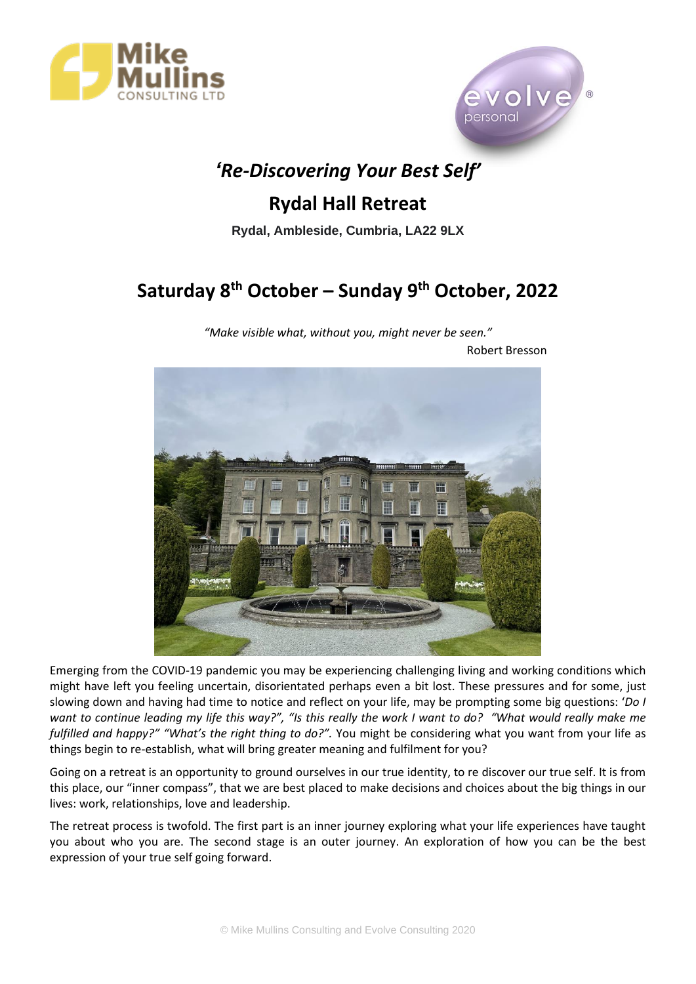



## *'Re-Discovering Your Best Self'*

### **Rydal Hall Retreat**

**Rydal, Ambleside, Cumbria, LA22 9LX**

# **Saturday 8th October – Sunday 9 th October, 2022**

*"Make visible what, without you, might never be seen."* Robert Bresson



Emerging from the COVID-19 pandemic you may be experiencing challenging living and working conditions which might have left you feeling uncertain, disorientated perhaps even a bit lost. These pressures and for some, just slowing down and having had time to notice and reflect on your life, may be prompting some big questions: '*Do I want to continue leading my life this way?", "Is this really the work I want to do? "What would really make me fulfilled and happy?" "What's the right thing to do?".* You might be considering what you want from your life as things begin to re-establish, what will bring greater meaning and fulfilment for you?

Going on a retreat is an opportunity to ground ourselves in our true identity, to re discover our true self. It is from this place, our "inner compass", that we are best placed to make decisions and choices about the big things in our lives: work, relationships, love and leadership.

The retreat process is twofold. The first part is an inner journey exploring what your life experiences have taught you about who you are. The second stage is an outer journey. An exploration of how you can be the best expression of your true self going forward.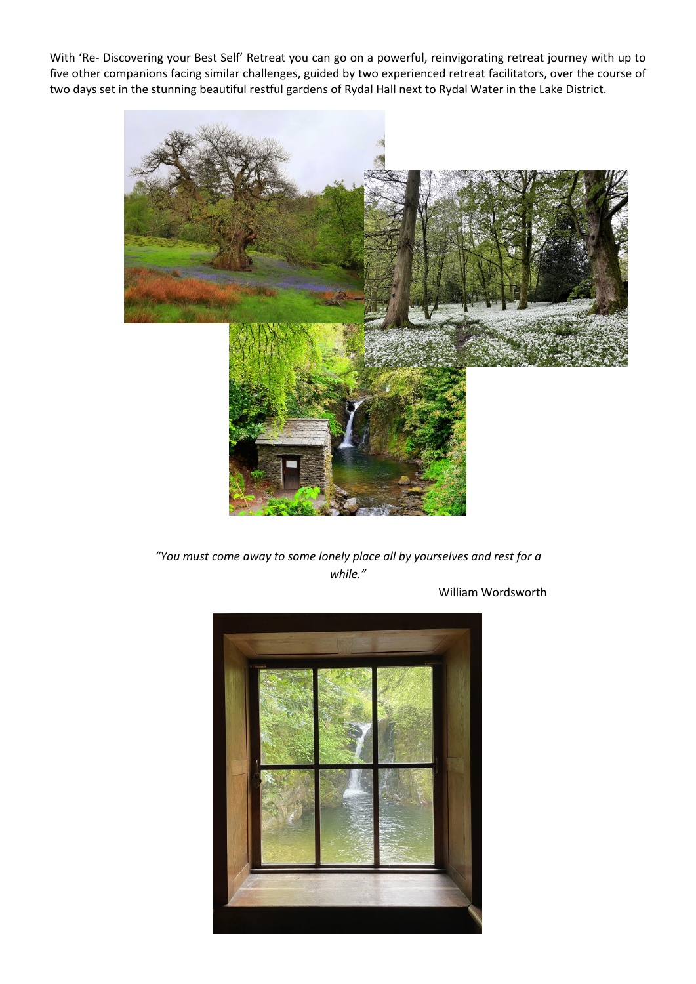With 'Re- Discovering your Best Self' Retreat you can go on a powerful, reinvigorating retreat journey with up to five other companions facing similar challenges, guided by two experienced retreat facilitators, over the course of two days set in the stunning beautiful restful gardens of Rydal Hall next to Rydal Water in the Lake District.



*"You must come away to some lonely place all by yourselves and rest for a while."*

William Wordsworth

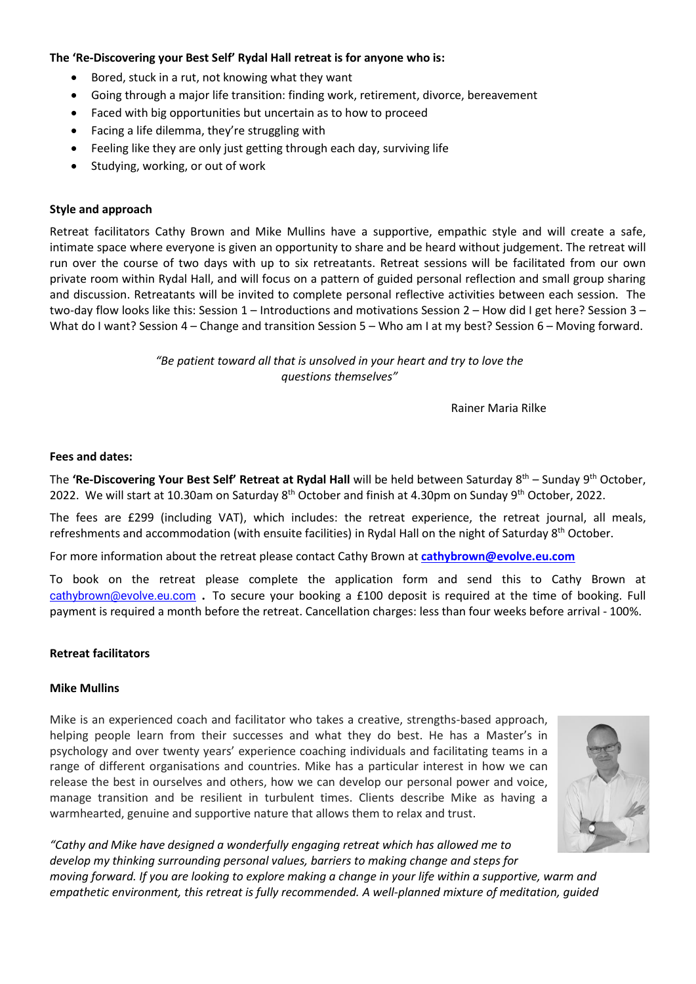#### **The 'Re-Discovering your Best Self' Rydal Hall retreat is for anyone who is:**

- Bored, stuck in a rut, not knowing what they want
- Going through a major life transition: finding work, retirement, divorce, bereavement
- Faced with big opportunities but uncertain as to how to proceed
- Facing a life dilemma, they're struggling with
- Feeling like they are only just getting through each day, surviving life
- Studying, working, or out of work

#### **Style and approach**

Retreat facilitators Cathy Brown and Mike Mullins have a supportive, empathic style and will create a safe, intimate space where everyone is given an opportunity to share and be heard without judgement. The retreat will run over the course of two days with up to six retreatants. Retreat sessions will be facilitated from our own private room within Rydal Hall, and will focus on a pattern of guided personal reflection and small group sharing and discussion. Retreatants will be invited to complete personal reflective activities between each session. The two-day flow looks like this: Session 1 – Introductions and motivations Session 2 – How did I get here? Session 3 – What do I want? Session 4 – Change and transition Session 5 – Who am I at my best? Session 6 – Moving forward.

> *"Be patient toward all that is unsolved in your heart and try to love the questions themselves"*

> > Rainer Maria Rilke

#### **Fees and dates:**

The **'Re-Discovering Your Best Self' Retreat at Rydal Hall** will be held between Saturday 8th – Sunday 9 th October, 2022. We will start at 10.30am on Saturday 8<sup>th</sup> October and finish at 4.30pm on Sunday 9<sup>th</sup> October, 2022.

The fees are £299 (including VAT), which includes: the retreat experience, the retreat journal, all meals, refreshments and accommodation (with ensuite facilities) in Rydal Hall on the night of Saturday 8th October.

For more information about the retreat please contact Cathy Brown at **[cathybrown@evolve.eu.com](mailto:cathybrown@evolve.eu.com)**

To book on the retreat please complete the application form and send this to Cathy Brown at [cathybrown@evolve.eu.com](mailto:cathybrown@evolve.eu.com) . To secure your booking a £100 deposit is required at the time of booking. Full payment is required a month before the retreat. Cancellation charges: less than four weeks before arrival - 100%.

#### **Retreat facilitators**

#### **Mike Mullins**

Mike is an experienced coach and facilitator who takes a creative, strengths-based approach, helping people learn from their successes and what they do best. He has a Master's in psychology and over twenty years' experience coaching individuals and facilitating teams in a range of different organisations and countries. Mike has a particular interest in how we can release the best in ourselves and others, how we can develop our personal power and voice, manage transition and be resilient in turbulent times. Clients describe Mike as having a warmhearted, genuine and supportive nature that allows them to relax and trust.



*"Cathy and Mike have designed a wonderfully engaging retreat which has allowed me to develop my thinking surrounding personal values, barriers to making change and steps for moving forward. If you are looking to explore making a change in your life within a supportive, warm and empathetic environment, this retreat is fully recommended. A well-planned mixture of meditation, guided*